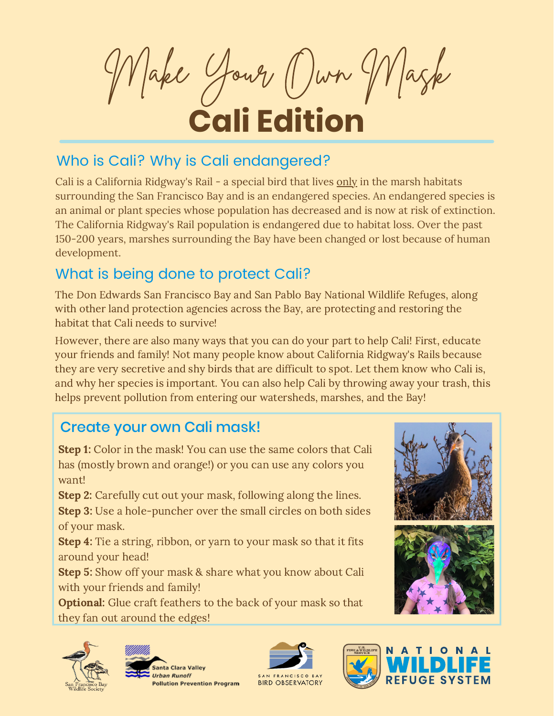Make Your Own Mask **Cali Edition**

## Who is Cali? Why is Cali endangered?

Cali is a California Ridgway's Rail - a special bird that lives only in the marsh habitats surrounding the San Francisco Bay and is an endangered species. An endangered species is an animal or plant species whose population has decreased and is now at risk of extinction. The California Ridgway's Rail population is endangered due to habitat loss. Over the past 150-200 years, marshes surrounding the Bay have been changed or lost because of human development.

## What is being done to protect Cali?

The Don Edwards San Francisco Bay and San Pablo Bay National Wildlife Refuges, along with other land protection agencies across the Bay, are protecting and restoring the habitat that Cali needs to survive!

However, there are also many ways that you can do your part to help Cali! First, educate your friends and family! Not many people know about California Ridgway's Rails because they are very secretive and shy birds that are difficult to spot. Let them know who Cali is, and why her species is important. You can also help Cali by throwing away your trash, this helps prevent pollution from entering our watersheds, marshes, and the Bay!

## Create your own Cali mask!

**Step 1:** Color in the mask! You can use the same colors that Cali has (mostly brown and orange!) or you can use any colors you want!

Step 2: Carefully cut out your mask, following along the lines.

Step 3: Use a hole-puncher over the small circles on both sides of your mask.

**Step 4:** Tie a string, ribbon, or yarn to your mask so that it fits around your head!

Step 5: Show off your mask & share what you know about Cali with your friends and family!

**Optional:** Glue craft feathers to the back of your mask so that they fan out around the edges!